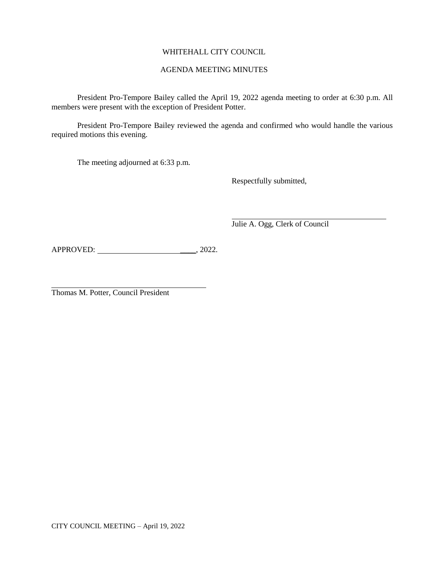# WHITEHALL CITY COUNCIL

## AGENDA MEETING MINUTES

President Pro-Tempore Bailey called the April 19, 2022 agenda meeting to order at 6:30 p.m. All members were present with the exception of President Potter.

President Pro-Tempore Bailey reviewed the agenda and confirmed who would handle the various required motions this evening.

The meeting adjourned at 6:33 p.m.

Respectfully submitted,

Julie A. Ogg, Clerk of Council

APPROVED: \_\_\_\_, 2022.

Thomas M. Potter, Council President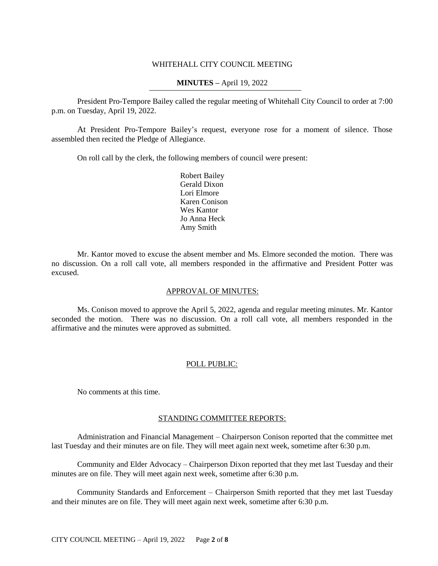### WHITEHALL CITY COUNCIL MEETING

### **MINUTES –** April 19, 2022

President Pro-Tempore Bailey called the regular meeting of Whitehall City Council to order at 7:00 p.m. on Tuesday, April 19, 2022.

At President Pro-Tempore Bailey's request, everyone rose for a moment of silence. Those assembled then recited the Pledge of Allegiance.

On roll call by the clerk, the following members of council were present:

Robert Bailey Gerald Dixon Lori Elmore Karen Conison Wes Kantor Jo Anna Heck Amy Smith

Mr. Kantor moved to excuse the absent member and Ms. Elmore seconded the motion. There was no discussion. On a roll call vote, all members responded in the affirmative and President Potter was excused.

### APPROVAL OF MINUTES:

Ms. Conison moved to approve the April 5, 2022, agenda and regular meeting minutes. Mr. Kantor seconded the motion. There was no discussion. On a roll call vote, all members responded in the affirmative and the minutes were approved as submitted.

### POLL PUBLIC:

No comments at this time.

#### STANDING COMMITTEE REPORTS:

Administration and Financial Management – Chairperson Conison reported that the committee met last Tuesday and their minutes are on file. They will meet again next week, sometime after 6:30 p.m.

Community and Elder Advocacy – Chairperson Dixon reported that they met last Tuesday and their minutes are on file. They will meet again next week, sometime after 6:30 p.m.

Community Standards and Enforcement – Chairperson Smith reported that they met last Tuesday and their minutes are on file. They will meet again next week, sometime after 6:30 p.m.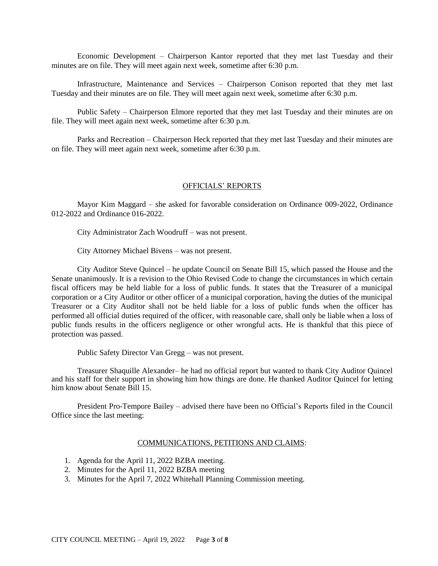Economic Development – Chairperson Kantor reported that they met last Tuesday and their minutes are on file. They will meet again next week, sometime after 6:30 p.m.

Infrastructure, Maintenance and Services – Chairperson Conison reported that they met last Tuesday and their minutes are on file. They will meet again next week, sometime after 6:30 p.m.

Public Safety – Chairperson Elmore reported that they met last Tuesday and their minutes are on file. They will meet again next week, sometime after 6:30 p.m.

Parks and Recreation – Chairperson Heck reported that they met last Tuesday and their minutes are on file. They will meet again next week, sometime after 6:30 p.m.

#### OFFICIALS' REPORTS

Mayor Kim Maggard – she asked for favorable consideration on Ordinance 009-2022, Ordinance 012-2022 and Ordinance 016-2022.

City Administrator Zach Woodruff – was not present.

City Attorney Michael Bivens – was not present.

City Auditor Steve Quincel – he update Council on Senate Bill 15, which passed the House and the Senate unanimously. It is a revision to the Ohio Revised Code to change the circumstances in which certain fiscal officers may be held liable for a loss of public funds. It states that the Treasurer of a municipal corporation or a City Auditor or other officer of a municipal corporation, having the duties of the municipal Treasurer or a City Auditor shall not be held liable for a loss of public funds when the officer has performed all official duties required of the officer, with reasonable care, shall only be liable when a loss of public funds results in the officers negligence or other wrongful acts. He is thankful that this piece of protection was passed.

Public Safety Director Van Gregg – was not present.

Treasurer Shaquille Alexander– he had no official report but wanted to thank City Auditor Quincel and his staff for their support in showing him how things are done. He thanked Auditor Quincel for letting him know about Senate Bill 15

President Pro-Tempore Bailey – advised there have been no Official's Reports filed in the Council Office since the last meeting:

#### COMMUNICATIONS, PETITIONS AND CLAIMS:

- 1. Agenda for the April 11, 2022 BZBA meeting.
- 2. Minutes for the April 11, 2022 BZBA meeting
- 3. Minutes for the April 7, 2022 Whitehall Planning Commission meeting.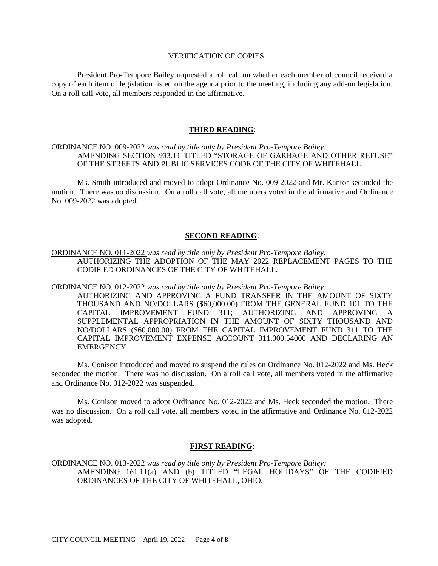#### VERIFICATION OF COPIES:

President Pro-Tempore Bailey requested a roll call on whether each member of council received a copy of each item of legislation listed on the agenda prior to the meeting, including any add-on legislation. On a roll call vote, all members responded in the affirmative.

### **THIRD READING**:

## ORDINANCE NO. 009-2022 *was read by title only by President Pro-Tempore Bailey:* AMENDING SECTION 933.11 TITLED "STORAGE OF GARBAGE AND OTHER REFUSE" OF THE STREETS AND PUBLIC SERVICES CODE OF THE CITY OF WHITEHALL.

Ms. Smith introduced and moved to adopt Ordinance No. 009-2022 and Mr. Kantor seconded the motion. There was no discussion. On a roll call vote, all members voted in the affirmative and Ordinance No. 009-2022 was adopted.

## **SECOND READING**:

## ORDINANCE NO. 011-2022 *was read by title only by President Pro-Tempore Bailey:* AUTHORIZING THE ADOPTION OF THE MAY 2022 REPLACEMENT PAGES TO THE CODIFIED ORDINANCES OF THE CITY OF WHITEHALL.

ORDINANCE NO. 012-2022 *was read by title only by President Pro-Tempore Bailey:*

AUTHORIZING AND APPROVING A FUND TRANSFER IN THE AMOUNT OF SIXTY THOUSAND AND NO/DOLLARS (\$60,000.00) FROM THE GENERAL FUND 101 TO THE CAPITAL IMPROVEMENT FUND 311; AUTHORIZING AND APPROVING A SUPPLEMENTAL APPROPRIATION IN THE AMOUNT OF SIXTY THOUSAND AND NO/DOLLARS (\$60,000.00) FROM THE CAPITAL IMPROVEMENT FUND 311 TO THE CAPITAL IMPROVEMENT EXPENSE ACCOUNT 311.000.54000 AND DECLARING AN EMERGENCY.

Ms. Conison introduced and moved to suspend the rules on Ordinance No. 012-2022 and Ms. Heck seconded the motion. There was no discussion. On a roll call vote, all members voted in the affirmative and Ordinance No. 012-2022 was suspended.

Ms. Conison moved to adopt Ordinance No. 012-2022 and Ms. Heck seconded the motion. There was no discussion. On a roll call vote, all members voted in the affirmative and Ordinance No. 012-2022 was adopted.

### **FIRST READING**:

ORDINANCE NO. 013-2022 *was read by title only by President Pro-Tempore Bailey:* AMENDING 161.11(a) AND (b) TITLED "LEGAL HOLIDAYS" OF THE CODIFIED ORDINANCES OF THE CITY OF WHITEHALL, OHIO.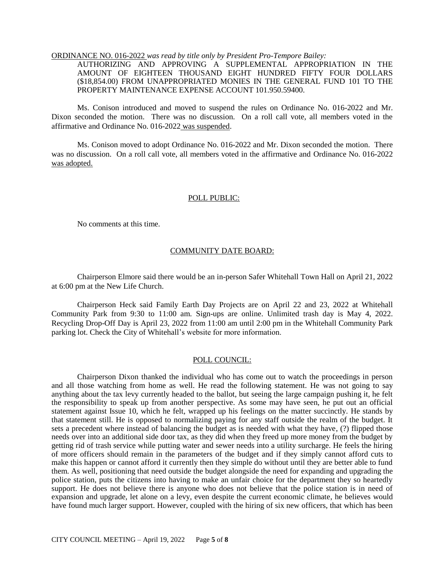#### ORDINANCE NO. 016-2022 *was read by title only by President Pro-Tempore Bailey:*

AUTHORIZING AND APPROVING A SUPPLEMENTAL APPROPRIATION IN THE AMOUNT OF EIGHTEEN THOUSAND EIGHT HUNDRED FIFTY FOUR DOLLARS (\$18,854.00) FROM UNAPPROPRIATED MONIES IN THE GENERAL FUND 101 TO THE PROPERTY MAINTENANCE EXPENSE ACCOUNT 101.950.59400.

Ms. Conison introduced and moved to suspend the rules on Ordinance No. 016-2022 and Mr. Dixon seconded the motion. There was no discussion. On a roll call vote, all members voted in the affirmative and Ordinance No. 016-2022 was suspended.

Ms. Conison moved to adopt Ordinance No. 016-2022 and Mr. Dixon seconded the motion. There was no discussion. On a roll call vote, all members voted in the affirmative and Ordinance No. 016-2022 was adopted.

#### POLL PUBLIC:

No comments at this time.

#### COMMUNITY DATE BOARD:

Chairperson Elmore said there would be an in-person Safer Whitehall Town Hall on April 21, 2022 at 6:00 pm at the New Life Church.

Chairperson Heck said Family Earth Day Projects are on April 22 and 23, 2022 at Whitehall Community Park from 9:30 to 11:00 am. Sign-ups are online. Unlimited trash day is May 4, 2022. Recycling Drop-Off Day is April 23, 2022 from 11:00 am until 2:00 pm in the Whitehall Community Park parking lot. Check the City of Whitehall's website for more information.

### POLL COUNCIL:

Chairperson Dixon thanked the individual who has come out to watch the proceedings in person and all those watching from home as well. He read the following statement. He was not going to say anything about the tax levy currently headed to the ballot, but seeing the large campaign pushing it, he felt the responsibility to speak up from another perspective. As some may have seen, he put out an official statement against Issue 10, which he felt, wrapped up his feelings on the matter succinctly. He stands by that statement still. He is opposed to normalizing paying for any staff outside the realm of the budget. It sets a precedent where instead of balancing the budget as is needed with what they have, (?) flipped those needs over into an additional side door tax, as they did when they freed up more money from the budget by getting rid of trash service while putting water and sewer needs into a utility surcharge. He feels the hiring of more officers should remain in the parameters of the budget and if they simply cannot afford cuts to make this happen or cannot afford it currently then they simple do without until they are better able to fund them. As well, positioning that need outside the budget alongside the need for expanding and upgrading the police station, puts the citizens into having to make an unfair choice for the department they so heartedly support. He does not believe there is anyone who does not believe that the police station is in need of expansion and upgrade, let alone on a levy, even despite the current economic climate, he believes would have found much larger support. However, coupled with the hiring of six new officers, that which has been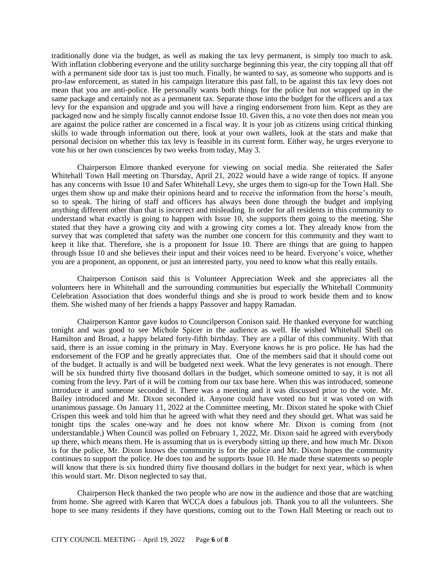traditionally done via the budget, as well as making the tax levy permanent, is simply too much to ask. With inflation clobbering everyone and the utility surcharge beginning this year, the city topping all that off with a permanent side door tax is just too much. Finally, he wanted to say, as someone who supports and is pro-law enforcement, as stated in his campaign literature this past fall, to be against this tax levy does not mean that you are anti-police. He personally wants both things for the police but not wrapped up in the same package and certainly not as a permanent tax. Separate those into the budget for the officers and a tax levy for the expansion and upgrade and you will have a ringing endorsement from him. Kept as they are packaged now and he simply fiscally cannot endorse Issue 10. Given this, a no vote then does not mean you are against the police rather are concerned in a fiscal way. It is your job as citizens using critical thinking skills to wade through information out there, look at your own wallets, look at the stats and make that personal decision on whether this tax levy is feasible in its current form. Either way, he urges everyone to vote his or her own consciences by two weeks from today, May 3.

Chairperson Elmore thanked everyone for viewing on social media. She reiterated the Safer Whitehall Town Hall meeting on Thursday, April 21, 2022 would have a wide range of topics. If anyone has any concerns with Issue 10 and Safer Whitehall Levy, she urges them to sign-up for the Town Hall. She urges them show up and make their opinions heard and to receive the information from the horse's mouth, so to speak. The hiring of staff and officers has always been done through the budget and implying anything different other than that is incorrect and misleading. In order for all residents in this community to understand what exactly is going to happen with Issue 10, she supports them going to the meeting. She stated that they have a growing city and with a growing city comes a lot. They already know from the survey that was completed that safety was the number one concern for this community and they want to keep it like that. Therefore, she is a proponent for Issue 10. There are things that are going to happen through Issue 10 and she believes their input and their voices need to be heard. Everyone's voice, whether you are a proponent, an opponent, or just an interested party, you need to know what this really entails.

Chairperson Conison said this is Volunteer Appreciation Week and she appreciates all the volunteers here in Whitehall and the surrounding communities but especially the Whitehall Community Celebration Association that does wonderful things and she is proud to work beside them and to know them. She wished many of her friends a happy Passover and happy Ramadan.

Chairperson Kantor gave kudos to Councilperson Conison said. He thanked everyone for watching tonight and was good to see Michole Spicer in the audience as well. He wished Whitehall Shell on Hamilton and Broad, a happy belated forty-fifth birthday. They are a pillar of this community. With that said, there is an issue coming in the primary in May. Everyone knows he is pro police. He has had the endorsement of the FOP and he greatly appreciates that. One of the members said that it should come out of the budget. It actually is and will be budgeted next week. What the levy generates is not enough. There will be six hundred thirty five thousand dollars in the budget, which someone omitted to say, it is not all coming from the levy. Part of it will be coming from our tax base here. When this was introduced, someone introduce it and someone seconded it. There was a meeting and it was discussed prior to the vote. Mr. Bailey introduced and Mr. Dixon seconded it. Anyone could have voted no but it was voted on with unanimous passage. On January 11, 2022 at the Committee meeting, Mr. Dixon stated he spoke with Chief Crispen this week and told him that he agreed with what they need and they should get. What was said he tonight tips the scales one-way and he does not know where Mr. Dixon is coming from (not understandable.) When Council was polled on February 1, 2022, Mr. Dixon said he agreed with everybody up there, which means them. He is assuming that us is everybody sitting up there, and how much Mr. Dixon is for the police, Mr. Dixon knows the community is for the police and Mr. Dixon hopes the community continues to support the police. He does too and he supports Issue 10. He made these statements so people will know that there is six hundred thirty five thousand dollars in the budget for next year, which is when this would start. Mr. Dixon neglected to say that.

Chairperson Heck thanked the two people who are now in the audience and those that are watching from home. She agreed with Karen that WCCA does a fabulous job. Thank you to all the volunteers. She hope to see many residents if they have questions, coming out to the Town Hall Meeting or reach out to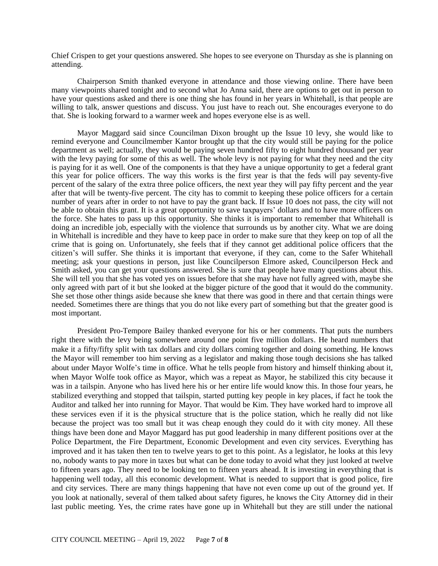Chief Crispen to get your questions answered. She hopes to see everyone on Thursday as she is planning on attending.

Chairperson Smith thanked everyone in attendance and those viewing online. There have been many viewpoints shared tonight and to second what Jo Anna said, there are options to get out in person to have your questions asked and there is one thing she has found in her years in Whitehall, is that people are willing to talk, answer questions and discuss. You just have to reach out. She encourages everyone to do that. She is looking forward to a warmer week and hopes everyone else is as well.

Mayor Maggard said since Councilman Dixon brought up the Issue 10 levy, she would like to remind everyone and Councilmember Kantor brought up that the city would still be paying for the police department as well; actually, they would be paying seven hundred fifty to eight hundred thousand per year with the levy paying for some of this as well. The whole levy is not paying for what they need and the city is paying for it as well. One of the components is that they have a unique opportunity to get a federal grant this year for police officers. The way this works is the first year is that the feds will pay seventy-five percent of the salary of the extra three police officers, the next year they will pay fifty percent and the year after that will be twenty-five percent. The city has to commit to keeping these police officers for a certain number of years after in order to not have to pay the grant back. If Issue 10 does not pass, the city will not be able to obtain this grant. It is a great opportunity to save taxpayers' dollars and to have more officers on the force. She hates to pass up this opportunity. She thinks it is important to remember that Whitehall is doing an incredible job, especially with the violence that surrounds us by another city. What we are doing in Whitehall is incredible and they have to keep pace in order to make sure that they keep on top of all the crime that is going on. Unfortunately, she feels that if they cannot get additional police officers that the citizen's will suffer. She thinks it is important that everyone, if they can, come to the Safer Whitehall meeting; ask your questions in person, just like Councilperson Elmore asked, Councilperson Heck and Smith asked, you can get your questions answered. She is sure that people have many questions about this. She will tell you that she has voted yes on issues before that she may have not fully agreed with, maybe she only agreed with part of it but she looked at the bigger picture of the good that it would do the community. She set those other things aside because she knew that there was good in there and that certain things were needed. Sometimes there are things that you do not like every part of something but that the greater good is most important.

President Pro-Tempore Bailey thanked everyone for his or her comments. That puts the numbers right there with the levy being somewhere around one point five million dollars. He heard numbers that make it a fifty/fifty split with tax dollars and city dollars coming together and doing something. He knows the Mayor will remember too him serving as a legislator and making those tough decisions she has talked about under Mayor Wolfe's time in office. What he tells people from history and himself thinking about it, when Mayor Wolfe took office as Mayor, which was a repeat as Mayor, he stabilized this city because it was in a tailspin. Anyone who has lived here his or her entire life would know this. In those four years, he stabilized everything and stopped that tailspin, started putting key people in key places, if fact he took the Auditor and talked her into running for Mayor. That would be Kim. They have worked hard to improve all these services even if it is the physical structure that is the police station, which he really did not like because the project was too small but it was cheap enough they could do it with city money. All these things have been done and Mayor Maggard has put good leadership in many different positions over at the Police Department, the Fire Department, Economic Development and even city services. Everything has improved and it has taken then ten to twelve years to get to this point. As a legislator, he looks at this levy no, nobody wants to pay more in taxes but what can be done today to avoid what they just looked at twelve to fifteen years ago. They need to be looking ten to fifteen years ahead. It is investing in everything that is happening well today, all this economic development. What is needed to support that is good police, fire and city services. There are many things happening that have not even come up out of the ground yet. If you look at nationally, several of them talked about safety figures, he knows the City Attorney did in their last public meeting. Yes, the crime rates have gone up in Whitehall but they are still under the national